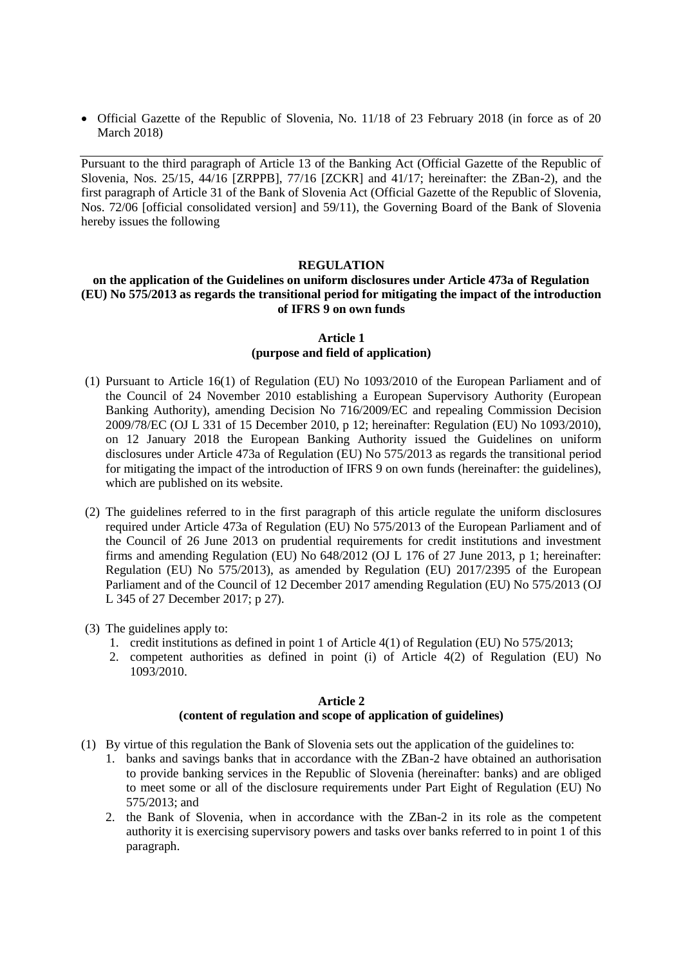Official Gazette of the Republic of Slovenia, No. 11/18 of 23 February 2018 (in force as of 20 March 2018)

Pursuant to the third paragraph of Article 13 of the Banking Act (Official Gazette of the Republic of Slovenia, Nos. 25/15, 44/16 [ZRPPB], 77/16 [ZCKR] and 41/17; hereinafter: the ZBan-2), and the first paragraph of Article 31 of the Bank of Slovenia Act (Official Gazette of the Republic of Slovenia, Nos. 72/06 [official consolidated version] and 59/11), the Governing Board of the Bank of Slovenia hereby issues the following

#### **REGULATION**

### **on the application of the Guidelines on uniform disclosures under Article 473a of Regulation (EU) No 575/2013 as regards the transitional period for mitigating the impact of the introduction of IFRS 9 on own funds**

### **Article 1 (purpose and field of application)**

- (1) Pursuant to Article 16(1) of Regulation (EU) No 1093/2010 of the European Parliament and of the Council of 24 November 2010 establishing a European Supervisory Authority (European Banking Authority), amending Decision No 716/2009/EC and repealing Commission Decision 2009/78/EC (OJ L 331 of 15 December 2010, p 12; hereinafter: Regulation (EU) No 1093/2010), on 12 January 2018 the European Banking Authority issued the Guidelines on uniform disclosures under Article 473a of Regulation (EU) No 575/2013 as regards the transitional period for mitigating the impact of the introduction of IFRS 9 on own funds (hereinafter: the guidelines), which are published on its website.
- (2) The guidelines referred to in the first paragraph of this article regulate the uniform disclosures required under Article 473a of Regulation (EU) No 575/2013 of the European Parliament and of the Council of 26 June 2013 on prudential requirements for credit institutions and investment firms and amending Regulation (EU) No 648/2012 (OJ L 176 of 27 June 2013, p 1; hereinafter: Regulation (EU) No 575/2013), as amended by Regulation (EU) 2017/2395 of the European Parliament and of the Council of 12 December 2017 amending Regulation (EU) No 575/2013 (OJ L 345 of 27 December 2017; p 27).
- (3) The guidelines apply to:
	- 1. credit institutions as defined in point 1 of Article 4(1) of Regulation (EU) No 575/2013;
	- 2. competent authorities as defined in point (i) of Article 4(2) of Regulation (EU) No 1093/2010.

# **Article 2 (content of regulation and scope of application of guidelines)**

- (1) By virtue of this regulation the Bank of Slovenia sets out the application of the guidelines to:
	- 1. banks and savings banks that in accordance with the ZBan-2 have obtained an authorisation to provide banking services in the Republic of Slovenia (hereinafter: banks) and are obliged to meet some or all of the disclosure requirements under Part Eight of Regulation (EU) No 575/2013; and
	- 2. the Bank of Slovenia, when in accordance with the ZBan-2 in its role as the competent authority it is exercising supervisory powers and tasks over banks referred to in point 1 of this paragraph.